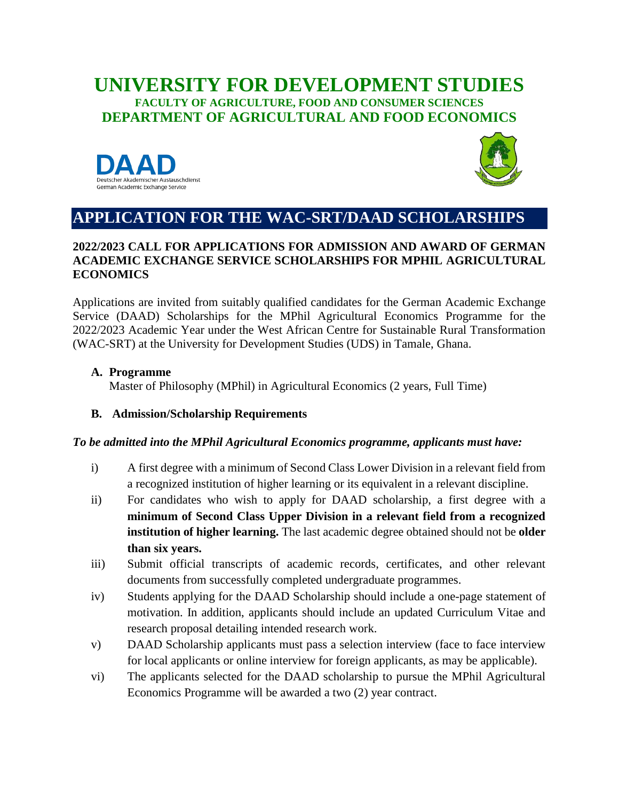### **UNIVERSITY FOR DEVELOPMENT STUDIES FACULTY OF AGRICULTURE, FOOD AND CONSUMER SCIENCES DEPARTMENT OF AGRICULTURAL AND FOOD ECONOMICS**





# **APPLICATION FOR THE WAC-SRT/DAAD SCHOLARSHIPS**

### **2022/2023 CALL FOR APPLICATIONS FOR ADMISSION AND AWARD OF GERMAN ACADEMIC EXCHANGE SERVICE SCHOLARSHIPS FOR MPHIL AGRICULTURAL ECONOMICS**

Applications are invited from suitably qualified candidates for the German Academic Exchange Service (DAAD) Scholarships for the MPhil Agricultural Economics Programme for the 2022/2023 Academic Year under the West African Centre for Sustainable Rural Transformation (WAC-SRT) at the University for Development Studies (UDS) in Tamale, Ghana.

#### **A. Programme**

Master of Philosophy (MPhil) in Agricultural Economics (2 years, Full Time)

### **B. Admission/Scholarship Requirements**

#### *To be admitted into the MPhil Agricultural Economics programme, applicants must have:*

- i) A first degree with a minimum of Second Class Lower Division in a relevant field from a recognized institution of higher learning or its equivalent in a relevant discipline.
- ii) For candidates who wish to apply for DAAD scholarship, a first degree with a **minimum of Second Class Upper Division in a relevant field from a recognized institution of higher learning.** The last academic degree obtained should not be **older than six years.**
- iii) Submit official transcripts of academic records, certificates, and other relevant documents from successfully completed undergraduate programmes.
- iv) Students applying for the DAAD Scholarship should include a one-page statement of motivation. In addition, applicants should include an updated Curriculum Vitae and research proposal detailing intended research work.
- v) DAAD Scholarship applicants must pass a selection interview (face to face interview for local applicants or online interview for foreign applicants, as may be applicable).
- vi) The applicants selected for the DAAD scholarship to pursue the MPhil Agricultural Economics Programme will be awarded a two (2) year contract.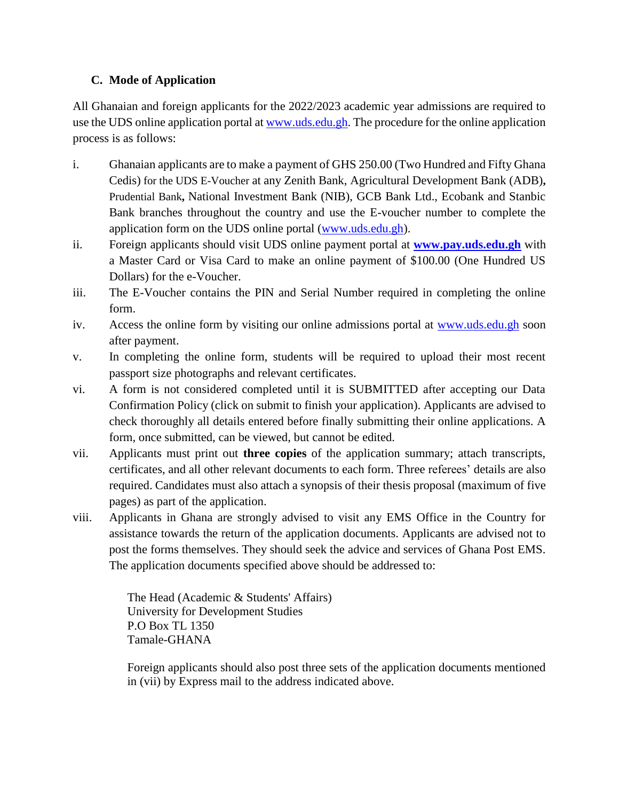### **C. Mode of Application**

All Ghanaian and foreign applicants for the 2022/2023 academic year admissions are required to use the UDS online application portal at [www.uds.edu.gh.](http://www.uds.edu.gh/) The procedure for the online application process is as follows:

- i. Ghanaian applicants are to make a payment of GHS 250.00 (Two Hundred and Fifty Ghana Cedis) for the UDS E-Voucher at any Zenith Bank, Agricultural Development Bank (ADB)**,**  Prudential Bank**,** National Investment Bank (NIB), GCB Bank Ltd., Ecobank and Stanbic Bank branches throughout the country and use the E-voucher number to complete the application form on the UDS online portal [\(www.uds.edu.gh\)](http://www.uds.edu.gh/).
- ii. Foreign applicants should visit UDS online payment portal at **[www.pay.uds.edu.gh](https://pay.uds.edu.gh/)** with a Master Card or Visa Card to make an online payment of \$100.00 (One Hundred US Dollars) for the e-Voucher.
- iii. The E-Voucher contains the PIN and Serial Number required in completing the online form.
- iv. Access the online form by visiting our online admissions portal at [www.uds.edu.gh](http://www.uds.edu.gh/) soon after payment.
- v. In completing the online form, students will be required to upload their most recent passport size photographs and relevant certificates.
- vi. A form is not considered completed until it is SUBMITTED after accepting our Data Confirmation Policy (click on submit to finish your application). Applicants are advised to check thoroughly all details entered before finally submitting their online applications. A form, once submitted, can be viewed, but cannot be edited.
- vii. Applicants must print out **three copies** of the application summary; attach transcripts, certificates, and all other relevant documents to each form. Three referees' details are also required. Candidates must also attach a synopsis of their thesis proposal (maximum of five pages) as part of the application.
- viii. Applicants in Ghana are strongly advised to visit any EMS Office in the Country for assistance towards the return of the application documents. Applicants are advised not to post the forms themselves. They should seek the advice and services of Ghana Post EMS. The application documents specified above should be addressed to:

The Head (Academic & Students' Affairs) University for Development Studies P.O Box TL 1350 Tamale-GHANA

Foreign applicants should also post three sets of the application documents mentioned in (vii) by Express mail to the address indicated above.